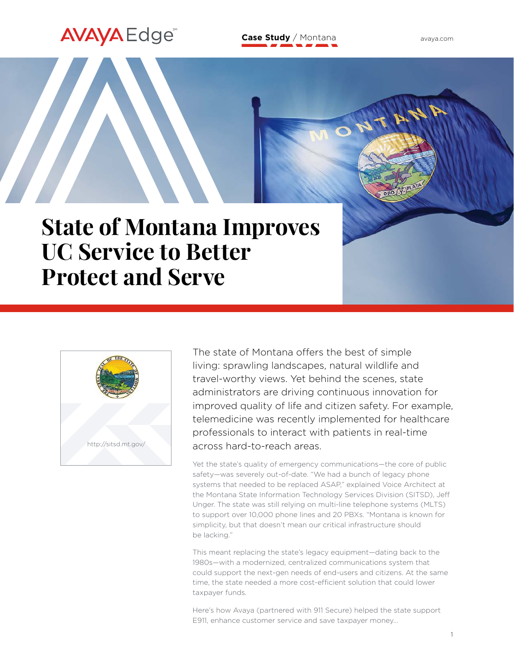# **Case Study** / Montana

[avaya.com](http://www.avaya.com)

# **State of Montana Improves UC Service to Better Protect and Serve**



**AVAYA** Edge

The state of Montana offers the best of simple living: sprawling landscapes, natural wildlife and travel-worthy views. Yet behind the scenes, state administrators are driving continuous innovation for improved quality of life and citizen safety. For example, telemedicine was recently implemented for healthcare professionals to interact with patients in real-time across hard-to-reach areas.

Yet the state's quality of emergency communications—the core of public safety—was severely out-of-date. "We had a bunch of legacy phone systems that needed to be replaced ASAP," explained Voice Architect at the Montana State Information Technology Services Division (SITSD), Jeff Unger. The state was still relying on multi-line telephone systems (MLTS) to support over 10,000 phone lines and 20 PBXs. "Montana is known for simplicity, but that doesn't mean our critical infrastructure should be lacking."

This meant replacing the state's legacy equipment—dating back to the 1980s—with a modernized, centralized communications system that could support the next-gen needs of end-users and citizens. At the same time, the state needed a more cost-efficient solution that could lower taxpayer funds.

Here's how Avaya (partnered with 911 Secure) helped the state support E911, enhance customer service and save taxpayer money…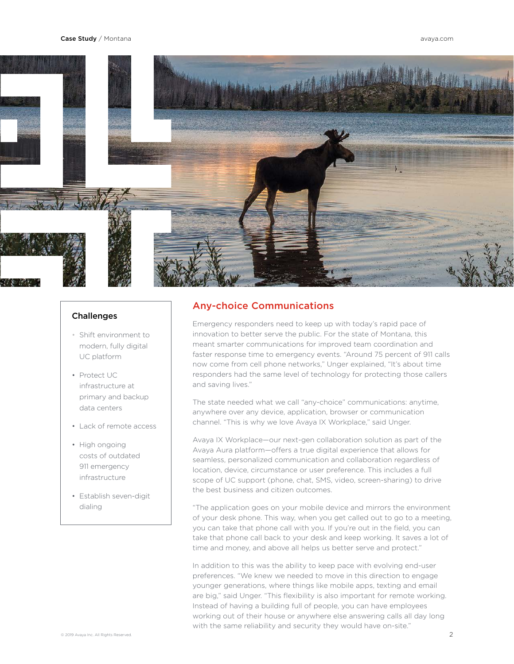

#### **Challenges**

- Shift environment to modern, fully digital UC platform
- Protect UC infrastructure at primary and backup data centers
- Lack of remote access
- High ongoing costs of outdated 911 emergency infrastructure
- Establish seven-digit dialing

#### Any-choice Communications

Emergency responders need to keep up with today's rapid pace of innovation to better serve the public. For the state of Montana, this meant smarter communications for improved team coordination and faster response time to emergency events. "Around 75 percent of 911 calls now come from cell phone networks," Unger explained, "It's about time responders had the same level of technology for protecting those callers and saving lives."

The state needed what we call "any-choice" communications: anytime, anywhere over any device, application, browser or communication channel. "This is why we love Avaya IX Workplace," said Unger.

Avaya IX Workplace—our next-gen collaboration solution as part of the Avaya Aura platform—offers a true digital experience that allows for seamless, personalized communication and collaboration regardless of location, device, circumstance or user preference. This includes a full scope of UC support (phone, chat, SMS, video, screen-sharing) to drive the best business and citizen outcomes.

"The application goes on your mobile device and mirrors the environment of your desk phone. This way, when you get called out to go to a meeting, you can take that phone call with you. If you're out in the field, you can take that phone call back to your desk and keep working. It saves a lot of time and money, and above all helps us better serve and protect."

In addition to this was the ability to keep pace with evolving end-user preferences. "We knew we needed to move in this direction to engage younger generations, where things like mobile apps, texting and email are big," said Unger. "This flexibility is also important for remote working. Instead of having a building full of people, you can have employees working out of their house or anywhere else answering calls all day long with the same reliability and security they would have on-site."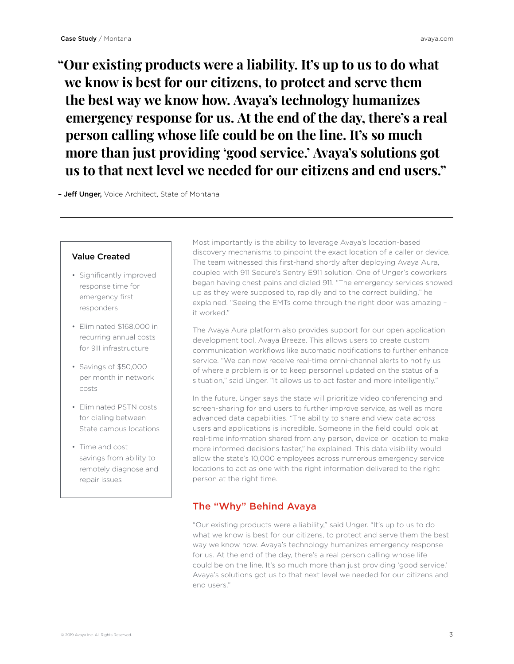**"Our existing products were a liability. It's up to us to do what we know is best for our citizens, to protect and serve them the best way we know how. Avaya's technology humanizes emergency response for us. At the end of the day, there's a real person calling whose life could be on the line. It's so much more than just providing 'good service.' Avaya's solutions got us to that next level we needed for our citizens and end users."**

- Jeff Unger, Voice Architect, State of Montana

#### Value Created

- Significantly improved response time for emergency first responders
- Eliminated \$168,000 in recurring annual costs for 911 infrastructure
- Savings of \$50,000 per month in network costs
- Eliminated PSTN costs for dialing between State campus locations
- Time and cost savings from ability to remotely diagnose and repair issues

Most importantly is the ability to leverage Avaya's location-based discovery mechanisms to pinpoint the exact location of a caller or device. The team witnessed this first-hand shortly after deploying Avaya Aura, coupled with 911 Secure's Sentry E911 solution. One of Unger's coworkers began having chest pains and dialed 911. "The emergency services showed up as they were supposed to, rapidly and to the correct building," he explained. "Seeing the EMTs come through the right door was amazing – it worked."

The Avaya Aura platform also provides support for our open application development tool, Avaya Breeze. This allows users to create custom communication workflows like automatic notifications to further enhance service. "We can now receive real-time omni-channel alerts to notify us of where a problem is or to keep personnel updated on the status of a situation," said Unger. "It allows us to act faster and more intelligently."

In the future, Unger says the state will prioritize video conferencing and screen-sharing for end users to further improve service, as well as more advanced data capabilities. "The ability to share and view data across users and applications is incredible. Someone in the field could look at real-time information shared from any person, device or location to make more informed decisions faster," he explained. This data visibility would allow the state's 10,000 employees across numerous emergency service locations to act as one with the right information delivered to the right person at the right time.

#### The "Why" Behind Avaya

"Our existing products were a liability," said Unger. "It's up to us to do what we know is best for our citizens, to protect and serve them the best way we know how. Avaya's technology humanizes emergency response for us. At the end of the day, there's a real person calling whose life could be on the line. It's so much more than just providing 'good service.' Avaya's solutions got us to that next level we needed for our citizens and end users."